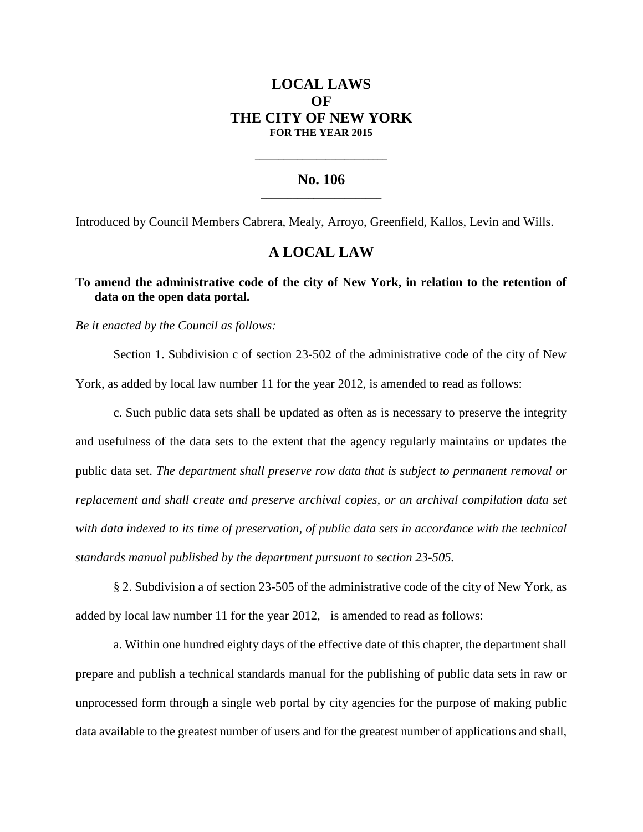# **LOCAL LAWS OF THE CITY OF NEW YORK FOR THE YEAR 2015**

#### **No. 106 \_\_\_\_\_\_\_\_\_\_\_\_\_\_\_\_\_\_\_\_\_\_\_**

**\_\_\_\_\_\_\_\_\_\_\_\_\_\_\_\_\_\_\_\_\_\_\_\_\_\_\_\_**

Introduced by Council Members Cabrera, Mealy, Arroyo, Greenfield, Kallos, Levin and Wills.

## **A LOCAL LAW**

## **To amend the administrative code of the city of New York, in relation to the retention of data on the open data portal.**

*Be it enacted by the Council as follows:*

Section 1. Subdivision c of section 23-502 of the administrative code of the city of New York, as added by local law number 11 for the year 2012, is amended to read as follows:

c. Such public data sets shall be updated as often as is necessary to preserve the integrity and usefulness of the data sets to the extent that the agency regularly maintains or updates the public data set. *The department shall preserve row data that is subject to permanent removal or replacement and shall create and preserve archival copies, or an archival compilation data set with data indexed to its time of preservation, of public data sets in accordance with the technical standards manual published by the department pursuant to section 23-505.*

§ 2. Subdivision a of section 23-505 of the administrative code of the city of New York, as added by local law number 11 for the year 2012, is amended to read as follows:

a. Within one hundred eighty days of the effective date of this chapter, the department shall prepare and publish a technical standards manual for the publishing of public data sets in raw or unprocessed form through a single web portal by city agencies for the purpose of making public data available to the greatest number of users and for the greatest number of applications and shall,